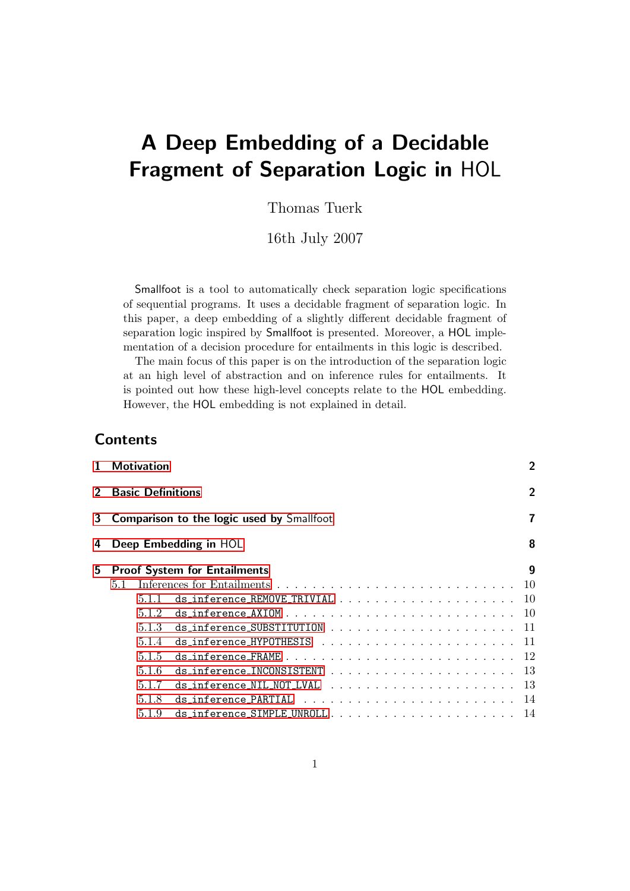# A Deep Embedding of a Decidable Fragment of Separation Logic in HOL

Thomas Tuerk

16th July 2007

Smallfoot is a tool to automatically check separation logic specifications of sequential programs. It uses a decidable fragment of separation logic. In this paper, a deep embedding of a slightly different decidable fragment of separation logic inspired by Smallfoot is presented. Moreover, a HOL implementation of a decision procedure for entailments in this logic is described.

The main focus of this paper is on the introduction of the separation logic at an high level of abstraction and on inference rules for entailments. It is pointed out how these high-level concepts relate to the HOL embedding. However, the HOL embedding is not explained in detail.

# **Contents**

| 1.             | $\overline{2}$<br><b>Motivation</b>              |  |  |  |  |
|----------------|--------------------------------------------------|--|--|--|--|
| $\overline{2}$ | <b>Basic Definitions</b>                         |  |  |  |  |
| 3              | <b>Comparison to the logic used by Smallfoot</b> |  |  |  |  |
| 4              | 8<br>Deep Embedding in HOL                       |  |  |  |  |
| 5              | 9<br><b>Proof System for Entailments</b>         |  |  |  |  |
|                | 10<br>5.1                                        |  |  |  |  |
|                | 10<br>511                                        |  |  |  |  |
|                | 5.1.2                                            |  |  |  |  |
|                | 5.1.3                                            |  |  |  |  |
|                | 5.1.4                                            |  |  |  |  |
|                | 5.1.5                                            |  |  |  |  |
|                | -13<br>5.1.6                                     |  |  |  |  |
|                | -13<br>5.1.7                                     |  |  |  |  |
|                | 5.1.8                                            |  |  |  |  |
|                | ds_inference_SIMPLE_UNROLL<br>14<br>5.1.9        |  |  |  |  |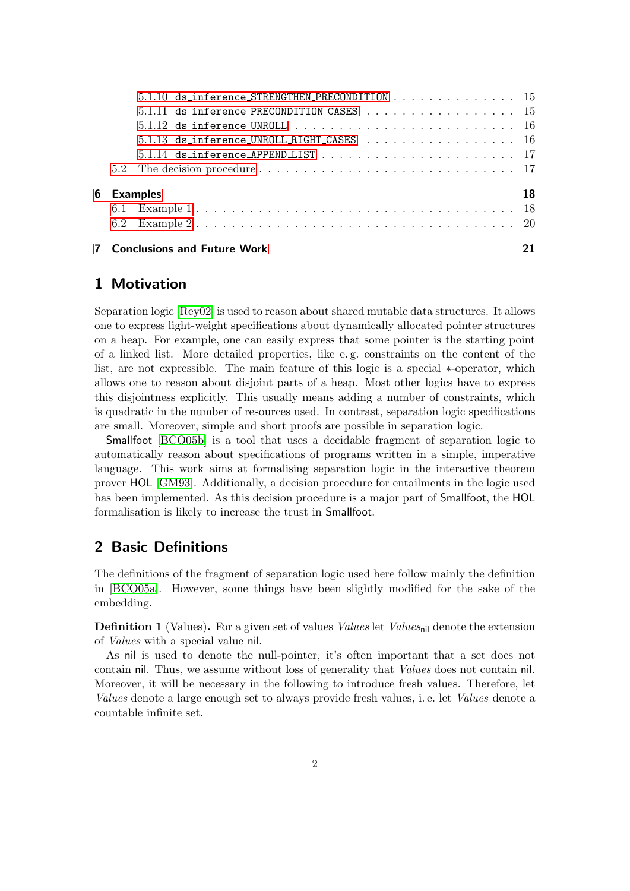|  | $5.1.10$ ds_inference_STRENGTHEN_PRECONDITION 15                                               |    |
|--|------------------------------------------------------------------------------------------------|----|
|  | $5.1.11$ ds_inference_PRECONDITION_CASES 15                                                    |    |
|  |                                                                                                |    |
|  | 5.1.13 ds_inference_UNROLL_RIGHT_CASES  16                                                     |    |
|  | $5.1.14$ ds_inference_APPEND_LIST $\ldots \ldots \ldots \ldots \ldots \ldots \ldots \ldots 17$ |    |
|  |                                                                                                |    |
|  | 6 Examples                                                                                     | 18 |
|  |                                                                                                |    |
|  |                                                                                                |    |
|  | <b>7</b> Conclusions and Future Work                                                           |    |

# <span id="page-1-0"></span>1 Motivation

Separation logic [\[Rey02\]](#page-20-1) is used to reason about shared mutable data structures. It allows one to express light-weight specifications about dynamically allocated pointer structures on a heap. For example, one can easily express that some pointer is the starting point of a linked list. More detailed properties, like e. g. constraints on the content of the list, are not expressible. The main feature of this logic is a special ∗-operator, which allows one to reason about disjoint parts of a heap. Most other logics have to express this disjointness explicitly. This usually means adding a number of constraints, which is quadratic in the number of resources used. In contrast, separation logic specifications are small. Moreover, simple and short proofs are possible in separation logic.

Smallfoot [\[BCO05b\]](#page-20-2) is a tool that uses a decidable fragment of separation logic to automatically reason about specifications of programs written in a simple, imperative language. This work aims at formalising separation logic in the interactive theorem prover HOL [\[GM93\]](#page-20-3). Additionally, a decision procedure for entailments in the logic used has been implemented. As this decision procedure is a major part of Smallfoot, the HOL formalisation is likely to increase the trust in Smallfoot.

# <span id="page-1-1"></span>2 Basic Definitions

The definitions of the fragment of separation logic used here follow mainly the definition in [\[BCO05a\]](#page-20-4). However, some things have been slightly modified for the sake of the embedding.

**Definition 1** (Values). For a given set of values *Values* let *Values*<sub>nil</sub> denote the extension of Values with a special value nil.

As nil is used to denote the null-pointer, it's often important that a set does not contain nil. Thus, we assume without loss of generality that Values does not contain nil. Moreover, it will be necessary in the following to introduce fresh values. Therefore, let Values denote a large enough set to always provide fresh values, i. e. let Values denote a countable infinite set.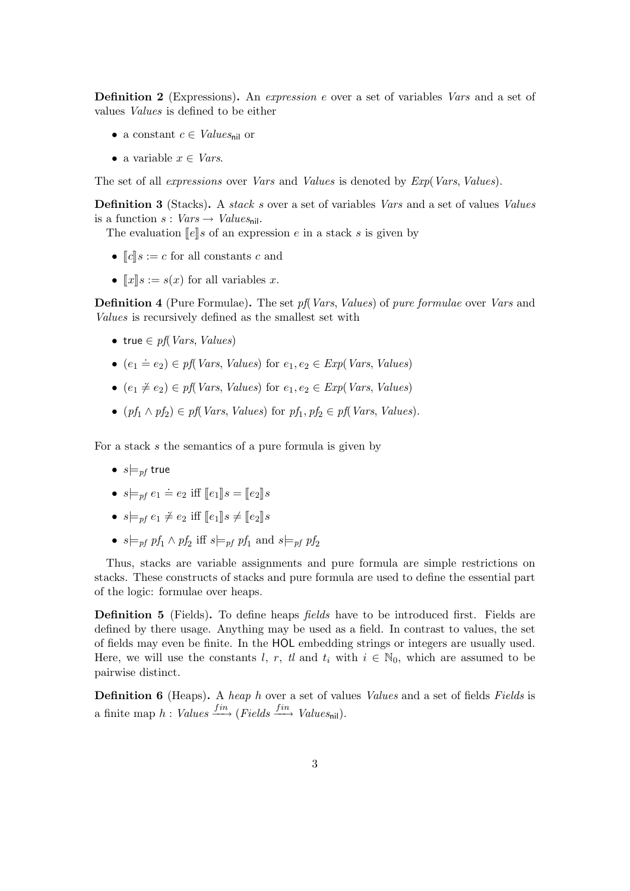Definition 2 (Expressions). An expression e over a set of variables Vars and a set of values Values is defined to be either

- a constant  $c \in Values_{\text{nil}}$  or
- a variable  $x \in Vars$ .

The set of all *expressions* over *Vars* and *Values* is denoted by *Exp(Vars, Values)*.

Definition 3 (Stacks). A *stack s* over a set of variables *Vars* and a set of values *Values* is a function  $s: Vars \rightarrow Values_{\text{nil}}$ .

The evaluation  $\llbracket e \rrbracket s$  of an expression e in a stack s is given by

- $\llbracket c \rrbracket s := c$  for all constants c and
- $\llbracket x \rrbracket s := s(x)$  for all variables x.

**Definition 4** (Pure Formulae). The set pf *Vars*, *Values*) of pure formulae over *Vars* and Values is recursively defined as the smallest set with

- true  $\in$  pf(Vars, Values)
- $(e_1 \doteq e_2) \in pf(Vars, Values)$  for  $e_1, e_2 \in Exp(Vars, Values)$
- $(e_1 \neq e_2) \in pf(Vars, Values) \text{ for } e_1, e_2 \in Exp(Vars, Values)$
- $(pf_1 \wedge pf_2) \in pf(Vars, Values) \text{ for } pf_1, pf_2 \in pf(Vars, Values).$

For a stack s the semantics of a pure formula is given by

- $s \models_{\textit{nf}} \text{true}$
- $s \models_{pf} e_1 \doteq e_2$  iff  $[ e_1 ] \!] s = [ e_2 ] \!] s$
- $s \models_{pf} e_1 \neq e_2$  iff  $\llbracket e_1 \rrbracket s \neq \llbracket e_2 \rrbracket s$
- $s \models_{pf} pf_1 \land pf_2$  iff  $s \models_{pf} pf_1$  and  $s \models_{pf} pf_2$

Thus, stacks are variable assignments and pure formula are simple restrictions on stacks. These constructs of stacks and pure formula are used to define the essential part of the logic: formulae over heaps.

**Definition 5** (Fields). To define heaps *fields* have to be introduced first. Fields are defined by there usage. Anything may be used as a field. In contrast to values, the set of fields may even be finite. In the HOL embedding strings or integers are usually used. Here, we will use the constants l, r, tl and  $t_i$  with  $i \in \mathbb{N}_0$ , which are assumed to be pairwise distinct.

**Definition 6** (Heaps). A heap h over a set of values Values and a set of fields Fields is a finite map  $h:$  Values  $f^{in}$  (Fields  $f^{in}$ ) Values<sub>nil</sub>).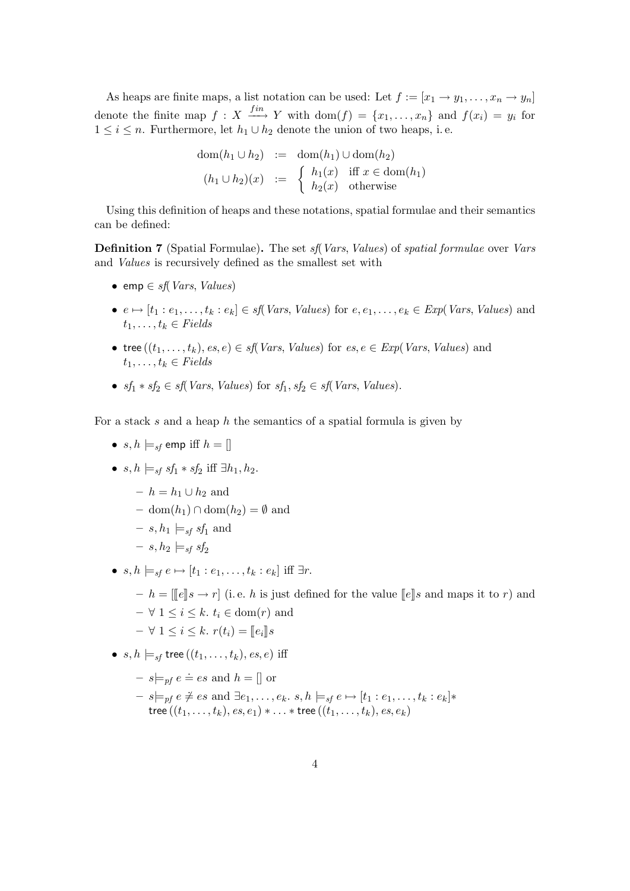As heaps are finite maps, a list notation can be used: Let  $f := [x_1 \rightarrow y_1, \ldots, x_n \rightarrow y_n]$ denote the finite map  $f: X \xrightarrow{fin} Y$  with  $dom(f) = \{x_1, \ldots, x_n\}$  and  $f(x_i) = y_i$  for  $1 \leq i \leq n$ . Furthermore, let  $h_1 \cup h_2$  denote the union of two heaps, i.e.

$$
\text{dom}(h_1 \cup h_2) := \text{dom}(h_1) \cup \text{dom}(h_2)
$$
\n
$$
(h_1 \cup h_2)(x) := \begin{cases} h_1(x) & \text{iff } x \in \text{dom}(h_1) \\ h_2(x) & \text{otherwise} \end{cases}
$$

Using this definition of heaps and these notations, spatial formulae and their semantics can be defined:

**Definition 7** (Spatial Formulae). The set *sf*(*Vars, Values*) of *spatial formulae* over *Vars* and Values is recursively defined as the smallest set with

- emp  $\in$  sf(Vars, Values)
- $e \mapsto [t_1 : e_1, \ldots, t_k : e_k] \in \mathit{sf}(\mathit{Vars}, \mathit{Values})$  for  $e, e_1, \ldots, e_k \in \mathit{Exp}(\mathit{Vars}, \mathit{Values})$  and  $t_1, \ldots, t_k \in Fields$
- tree  $((t_1, \ldots, t_k), es, e) \in sf(Vars, Values) \text{ for } es, e \in Exp(Vars, Values) \text{ and }$  $t_1, \ldots, t_k \in Fields$
- $sf_1 * sf_2 \in sf(Vars, Values) \text{ for } sf_1, sf_2 \in sf(Vars, Values).$

For a stack s and a heap h the semantics of a spatial formula is given by

- $s, h \models_{sf}$  emp iff  $h = []$
- $s, h \models_{sf} sf_1 * sf_2 \text{ iff } \exists h_1, h_2.$ 
	- $h = h_1 \cup h_2$  and
	- dom $(h_1) \cap$ dom $(h_2) = \emptyset$  and
	- $s, h_1 \models_{sf} sf_1$  and
	- $s, h_2 \models_{sf} sf_2$
- $s, h \models_{sf} e \mapsto [t_1 : e_1, \ldots, t_k : e_k]$  iff  $\exists r$ .
	- $h = \lfloor e \rfloor s \rightarrow r \rfloor$  (i.e. h is just defined for the value  $\lfloor e \rfloor s$  and maps it to r) and
	- $\forall 1 \leq i \leq k$ .  $t_i \in \text{dom}(r)$  and
	- $\forall 1 \leq i \leq k$ .  $r(t_i) = [e_i] \$ s
- $s, h \models_{sf} \text{tree}((t_1, \ldots, t_k), \text{es}, e) \text{ iff}$ 
	- $s \models_{\text{pf}} e \doteq \text{es}$  and  $h = []$  or
	- $s \not\models_{pf} e \neq es \text{ and } \exists e_1, \ldots, e_k \ldotp s, h \models_{sf} e \mapsto [t_1 : e_1, \ldots, t_k : e_k] *$ tree  $((t_1,\ldots,t_k),$   $es, e_1) * \ldots *$  tree  $((t_1,\ldots,t_k),$   $es, e_k)$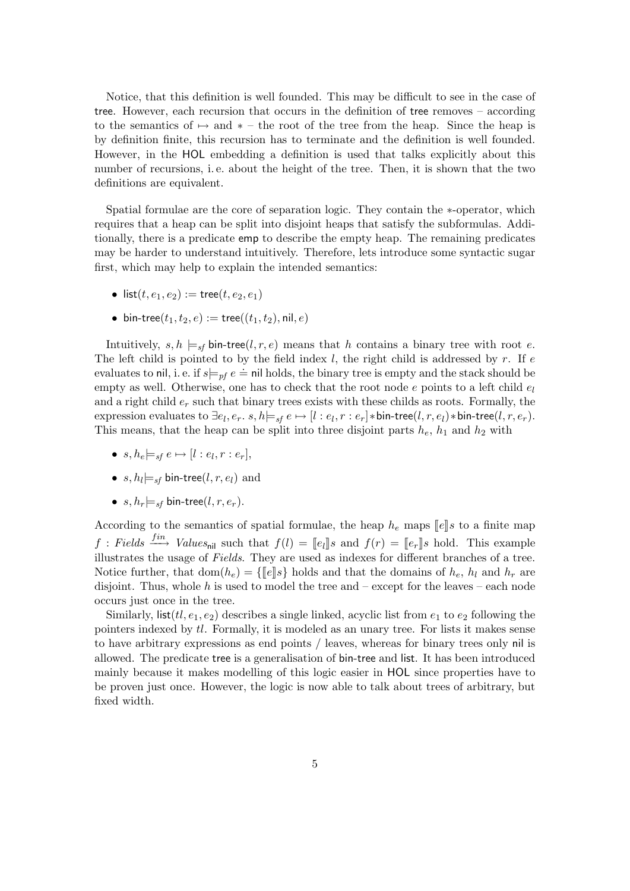Notice, that this definition is well founded. This may be difficult to see in the case of tree. However, each recursion that occurs in the definition of tree removes – according to the semantics of  $\mapsto$  and  $*$  – the root of the tree from the heap. Since the heap is by definition finite, this recursion has to terminate and the definition is well founded. However, in the HOL embedding a definition is used that talks explicitly about this number of recursions, i. e. about the height of the tree. Then, it is shown that the two definitions are equivalent.

Spatial formulae are the core of separation logic. They contain the ∗-operator, which requires that a heap can be split into disjoint heaps that satisfy the subformulas. Additionally, there is a predicate emp to describe the empty heap. The remaining predicates may be harder to understand intuitively. Therefore, lets introduce some syntactic sugar first, which may help to explain the intended semantics:

- list(t,  $e_1, e_2$ ) := tree(t,  $e_2, e_1$ )
- bin-tree( $t_1, t_2, e$ ) := tree(( $t_1, t_2$ ), nil, e)

Intuitively,  $s, h \models_{sf} bin-tree(l, r, e)$  means that h contains a binary tree with root e. The left child is pointed to by the field index  $l$ , the right child is addressed by r. If e evaluates to nil, i. e. if  $s\models_{pf} e \doteq \text{nil}$  holds, the binary tree is empty and the stack should be empty as well. Otherwise, one has to check that the root node e points to a left child  $e_l$ and a right child  $e_r$  such that binary trees exists with these childs as roots. Formally, the expression evaluates to  $\exists e_l, e_r.~ s, h \models_{sf} e \mapsto [l:e_l, r:e_r]*\mathsf{bin-tree}(l, r, e_l)*\mathsf{bin-tree}(l, r, e_r).$ This means, that the heap can be split into three disjoint parts  $h_e$ ,  $h_1$  and  $h_2$  with

- $\bullet \ \ s, h_e \models_{sf} e \mapsto [l : e_l, r : e_r],$
- $\bullet \ \ s,h_l{\models_{sf}}$  bin-tree $(l,r,e_l)$  and
- $s, h_r \models_{sf}$  bin-tree(l, r,  $e_r$ ).

According to the semantics of spatial formulae, the heap  $h_e$  maps  $[\![e]\!]s$  to a finite map  $f: Fields \xrightarrow{fin} Values_{\text{nil}} \text{such that } f(l) = [e_l] \text{ and } f(r) = [e_r] \text{ should. This example}$ illustrates the usage of Fields. They are used as indexes for different branches of a tree. Notice further, that  $dom(h_e) = \{\llbracket e \rrbracket s\}$  holds and that the domains of  $h_e$ ,  $h_l$  and  $h_r$  are disjoint. Thus, whole h is used to model the tree and – except for the leaves – each node occurs just once in the tree.

Similarly, list( $tl, e_1, e_2$ ) describes a single linked, acyclic list from  $e_1$  to  $e_2$  following the pointers indexed by tl. Formally, it is modeled as an unary tree. For lists it makes sense to have arbitrary expressions as end points / leaves, whereas for binary trees only nil is allowed. The predicate tree is a generalisation of bin-tree and list. It has been introduced mainly because it makes modelling of this logic easier in HOL since properties have to be proven just once. However, the logic is now able to talk about trees of arbitrary, but fixed width.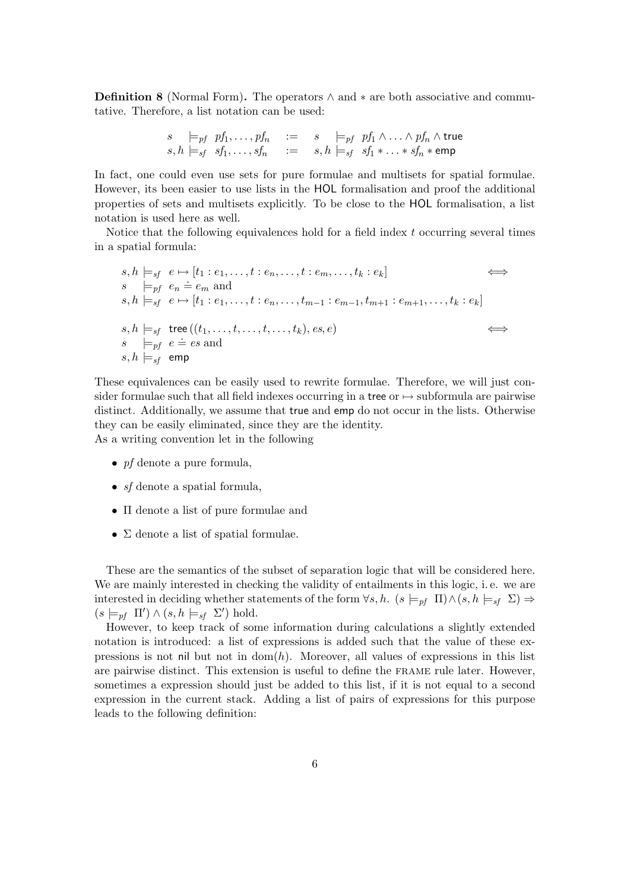**Definition 8** (Normal Form). The operators  $\land$  and  $*$  are both associative and commutative. Therefore, a list notation can be used:

$$
\begin{array}{llll}\ns & \models_{pf} pf_1, \ldots, pf_n & := & s \models_{pf} pf_1 \wedge \ldots \wedge pf_n \wedge \text{true} \\
s, h \models_{sf} sf_1, \ldots, sf_n & := & s, h \models_{sf} sf_1 * \ldots * sf_n * \text{emp}\n\end{array}
$$

In fact, one could even use sets for pure formulae and multisets for spatial formulae. However, its been easier to use lists in the HOL formalisation and proof the additional properties of sets and multisets explicitly. To be close to the HOL formalisation, a list notation is used here as well.

Notice that the following equivalences hold for a field index t occurring several times in a spatial formula:

$$
s, h \models_{sf} e \mapsto [t_1 : e_1, \dots, t : e_n, \dots, t : e_m, \dots, t_k : e_k]
$$
  
\n
$$
s \models_{pf} e_n \doteq e_m \text{ and}
$$
  
\n
$$
s, h \models_{sf} e \mapsto [t_1 : e_1, \dots, t : e_n, \dots, t_{m-1} : e_{m-1}, t_{m+1} : e_{m+1}, \dots, t_k : e_k]
$$
  
\n
$$
s, h \models_{sf} \text{tree}((t_1, \dots, t, \dots, t, \dots, t_k), e_s, e)
$$
  
\n
$$
s \models_{pf} e \doteq es \text{ and}
$$
  
\n
$$
s, h \models_{sf} \text{emp}
$$

These equivalences can be easily used to rewrite formulae. Therefore, we will just consider formulae such that all field indexes occurring in a tree or  $\mapsto$  subformula are pairwise distinct. Additionally, we assume that true and emp do not occur in the lists. Otherwise they can be easily eliminated, since they are the identity. As a writing convention let in the following

- $pf$  denote a pure formula,
- $sf$  denote a spatial formula,
- Π denote a list of pure formulae and
- $\Sigma$  denote a list of spatial formulae.

These are the semantics of the subset of separation logic that will be considered here. We are mainly interested in checking the validity of entailments in this logic, i. e. we are interested in deciding whether statements of the form  $\forall s, h$ .  $(s \models_{pf} \Pi) \wedge (s, h \models_{sf} \Sigma) \Rightarrow$  $(s \models_{pf} \Pi') \wedge (s, h \models_{sf} \Sigma') \text{ hold.}$ 

However, to keep track of some information during calculations a slightly extended notation is introduced: a list of expressions is added such that the value of these expressions is not nil but not in  $dom(h)$ . Moreover, all values of expressions in this list are pairwise distinct. This extension is useful to define the frame rule later. However, sometimes a expression should just be added to this list, if it is not equal to a second expression in the current stack. Adding a list of pairs of expressions for this purpose leads to the following definition: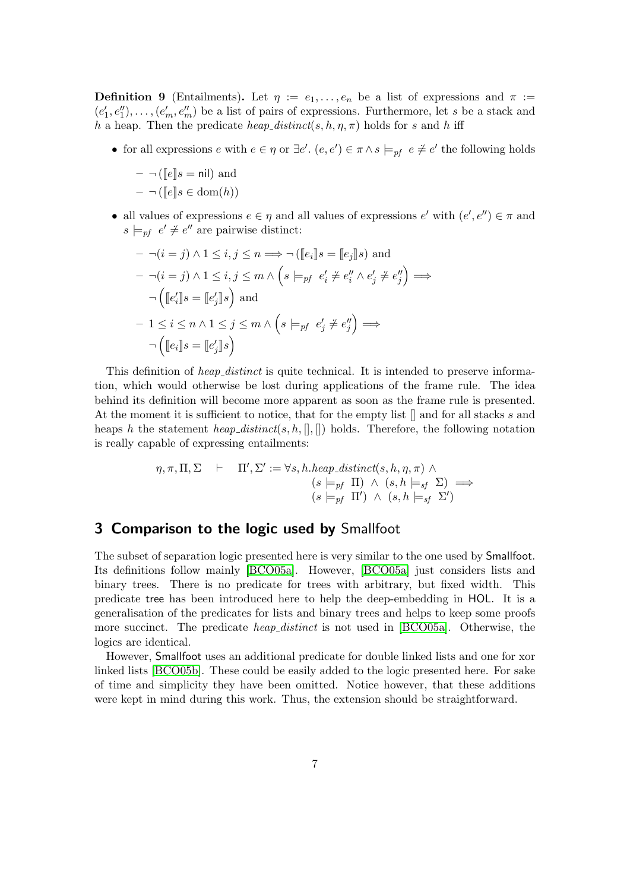**Definition 9** (Entailments). Let  $\eta := e_1, \ldots, e_n$  be a list of expressions and  $\pi :=$  $(e'_1, e''_1), \ldots, (e'_m, e''_m)$  be a list of pairs of expressions. Furthermore, let s be a stack and h a heap. Then the predicate heap\_distinct(s, h,  $\eta$ ,  $\pi$ ) holds for s and h iff

• for all expressions  $e$  with  $e \in \eta$  or  $\exists e'$ .  $(e, e') \in \pi \land s \models_{pf} e \neq e'$  the following holds

 $- \neg$  ( $\llbracket e \rrbracket s = \mathsf{nil}$ ) and  $- \neg (\llbracket e \rrbracket s \in \text{dom}(h))$ 

• all values of expressions  $e \in \eta$  and all values of expressions  $e'$  with  $(e', e'') \in \pi$  and  $s \models_{pf} e' \neq e''$  are pairwise distinct:

$$
-\neg(i = j) \land 1 \leq i, j \leq n \Longrightarrow \neg([\lfloor e_i \rfloor] s = [\lfloor e_j \rfloor] s) \text{ and}
$$

$$
-\neg(i = j) \land 1 \leq i, j \leq m \land \left(s \models_{pf} e'_i \neq e''_i \land e'_j \neq e''_j\right) \Longrightarrow
$$

$$
\neg([\lfloor e'_i \rfloor s = [\lfloor e'_j \rfloor] s) \text{ and}
$$

$$
-1 \leq i \leq n \land 1 \leq j \leq m \land \left(s \models_{pf} e'_j \neq e''_j\right) \Longrightarrow
$$

$$
\neg([\lfloor e_i \rfloor s = [\lfloor e'_j \rfloor] s)
$$

This definition of *heap\_distinct* is quite technical. It is intended to preserve information, which would otherwise be lost during applications of the frame rule. The idea behind its definition will become more apparent as soon as the frame rule is presented. At the moment it is sufficient to notice, that for the empty list  $\parallel$  and for all stacks s and heaps h the statement heap-distinct(s, h,  $[|, |]$ ) holds. Therefore, the following notation is really capable of expressing entailments:

$$
\eta, \pi, \Pi, \Sigma \quad \vdash \quad \Pi', \Sigma' := \forall s, h \text{.} \text{heap\_distinct}(s, h, \eta, \pi) \land \n(s \models_{pf} \Pi) \land (s, h \models_{sf} \Sigma) \implies \n(s \models_{pf} \Pi') \land (s, h \models_{sf} \Sigma')
$$

### <span id="page-6-0"></span>3 Comparison to the logic used by Smallfoot

The subset of separation logic presented here is very similar to the one used by Smallfoot. Its definitions follow mainly [\[BCO05a\]](#page-20-4). However, [\[BCO05a\]](#page-20-4) just considers lists and binary trees. There is no predicate for trees with arbitrary, but fixed width. This predicate tree has been introduced here to help the deep-embedding in HOL. It is a generalisation of the predicates for lists and binary trees and helps to keep some proofs more succinct. The predicate *heap distinct* is not used in [\[BCO05a\]](#page-20-4). Otherwise, the logics are identical.

However, Smallfoot uses an additional predicate for double linked lists and one for xor linked lists [\[BCO05b\]](#page-20-2). These could be easily added to the logic presented here. For sake of time and simplicity they have been omitted. Notice however, that these additions were kept in mind during this work. Thus, the extension should be straightforward.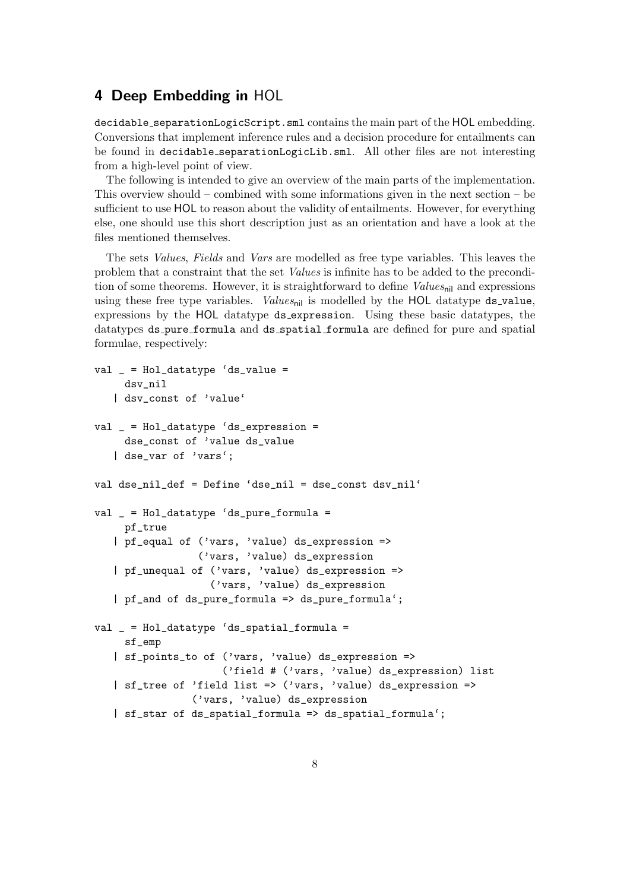# <span id="page-7-0"></span>4 Deep Embedding in HOL

decidable separationLogicScript.sml contains the main part of the HOL embedding. Conversions that implement inference rules and a decision procedure for entailments can be found in decidable separationLogicLib.sml. All other files are not interesting from a high-level point of view.

The following is intended to give an overview of the main parts of the implementation. This overview should – combined with some informations given in the next section – be sufficient to use HOL to reason about the validity of entailments. However, for everything else, one should use this short description just as an orientation and have a look at the files mentioned themselves.

The sets Values, Fields and Vars are modelled as free type variables. This leaves the problem that a constraint that the set Values is infinite has to be added to the precondition of some theorems. However, it is straightforward to define  $Values_{\text{nil}}$  and expressions using these free type variables. Values<sub>nil</sub> is modelled by the HOL datatype ds\_value, expressions by the HOL datatype ds expression. Using these basic datatypes, the datatypes ds pure formula and ds spatial formula are defined for pure and spatial formulae, respectively:

```
val = = Hol_datatype 'ds_value =
    dsv_nil
   | dsv_const of 'value'
val _ = Hol_datatype 'ds_expression =
     dse_const of 'value ds_value
   | dse_var of 'vars';
val dse_nil_def = Define 'dse_nil = dse_const dsv_nil'
val _ = Hol_datatype 'ds_pure_formula =
     pf_true
   | pf_equal of ('vars, 'value) ds_expression =>
                 ('vars, 'value) ds_expression
   | pf_unequal of ('vars, 'value) ds_expression =>
                   ('vars, 'value) ds_expression
   | pf_and of ds_pure_formula => ds_pure_formula';
val _ = Hol_datatype 'ds_spatial_formula =
     sf_emp
   | sf_points_to of ('vars, 'value) ds_expression =>
                     ('field # ('vars, 'value) ds_expression) list
   | sf_tree of 'field list => ('vars, 'value) ds_expression =>
                ('vars, 'value) ds_expression
   | sf_star of ds_spatial_formula => ds_spatial_formula';
```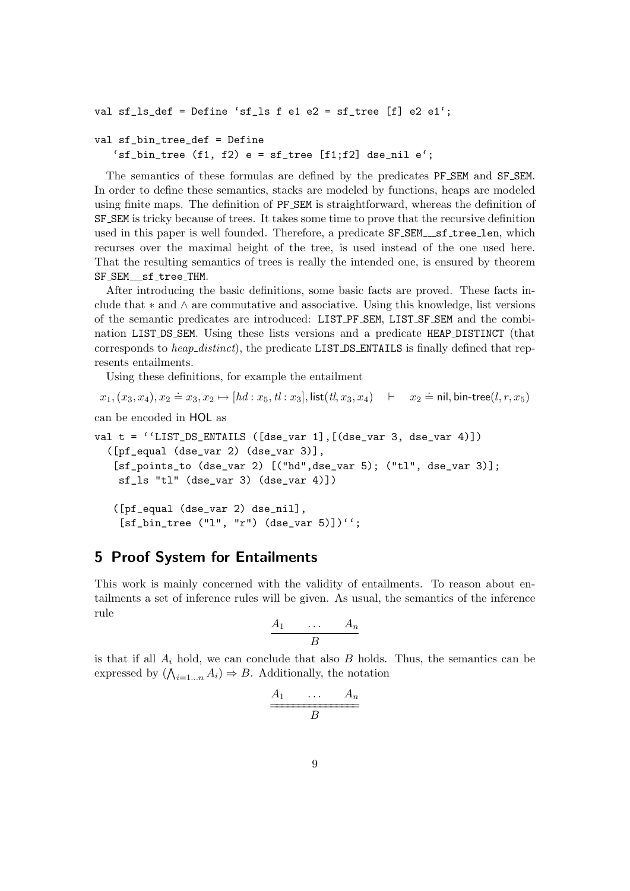```
val sf_ls_def = Define 'sf_ls f e1 e2 = sf_tree [f] e2 e1';
```

```
val sf_bin_tree_def = Define
   'sf_bin_tree (f1, f2) e = sf_tree [f1; f2] dse_nil e';
```
The semantics of these formulas are defined by the predicates PF SEM and SF SEM. In order to define these semantics, stacks are modeled by functions, heaps are modeled using finite maps. The definition of PF SEM is straightforward, whereas the definition of SF SEM is tricky because of trees. It takes some time to prove that the recursive definition used in this paper is well founded. Therefore, a predicate  $SF\_SEM\_sf\_tree\_len$ , which recurses over the maximal height of the tree, is used instead of the one used here. That the resulting semantics of trees is really the intended one, is ensured by theorem SF\_SEM\_\_\_sf\_tree\_THM.

After introducing the basic definitions, some basic facts are proved. These facts include that ∗ and ∧ are commutative and associative. Using this knowledge, list versions of the semantic predicates are introduced: LIST PF SEM, LIST SF SEM and the combination LIST DS SEM. Using these lists versions and a predicate HEAP DISTINCT (that corresponds to heap\_distinct), the predicate LIST\_DS\_ENTAILS is finally defined that represents entailments.

Using these definitions, for example the entailment

$$
x_1, (x_3, x_4), x_2 \doteq x_3, x_2 \mapsto [hd: x_5, tl: x_3], list(tl, x_3, x_4) \quad \vdash \quad x_2 \doteq \mathsf{nil}, \mathsf{bin-tree}(l, r, x_5)
$$

can be encoded in HOL as

val  $t = 'LIST_D S_ENTAILS ([dse_var 1], [(dse_var 3, des_var 4)])$ ([pf\_equal (dse\_var 2) (dse\_var 3)], [sf\_points\_to (dse\_var 2) [("hd",dse\_var 5); ("tl", dse\_var 3)]; sf\_ls "tl" (dse\_var 3) (dse\_var 4)]) ([pf\_equal (dse\_var 2) dse\_nil],  $[sf\_bin\_tree ( "l", "r") (dse\_var 5) ] ) '`';$ 

## <span id="page-8-0"></span>5 Proof System for Entailments

This work is mainly concerned with the validity of entailments. To reason about entailments a set of inference rules will be given. As usual, the semantics of the inference rule

$$
\begin{array}{ccc}\nA_1 & \ldots & A_n \\
\hline\nB\n\end{array}
$$

is that if all  $A_i$  hold, we can conclude that also  $B$  holds. Thus, the semantics can be expressed by  $(\bigwedge_{i=1...n} A_i) \Rightarrow B$ . Additionally, the notation

$$
\begin{array}{c}\nA_1 \quad \cdots \quad A_n \\
\hline\nB\n\end{array}
$$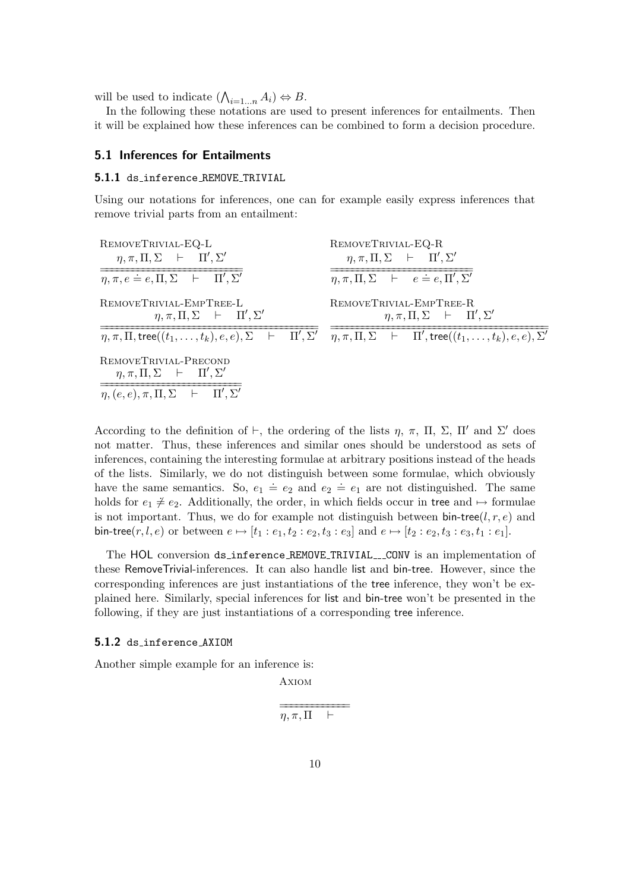will be used to indicate  $(\bigwedge_{i=1...n} A_i) \Leftrightarrow B$ .

In the following these notations are used to present inferences for entailments. Then it will be explained how these inferences can be combined to form a decision procedure.

#### <span id="page-9-0"></span>5.1 Inferences for Entailments

#### <span id="page-9-1"></span>5.1.1 ds inference REMOVE TRIVIAL

Using our notations for inferences, one can for example easily express inferences that remove trivial parts from an entailment:

| REMOVETRIVIAL-EQ-L                                                                                                                                                                | REMOVETRIVIAL-EQ-R                                                           |  |
|-----------------------------------------------------------------------------------------------------------------------------------------------------------------------------------|------------------------------------------------------------------------------|--|
| $\eta, \pi, \Pi, \Sigma$ $\vdash$ $\Pi', \Sigma'$                                                                                                                                 | $\eta, \pi, \Pi, \Sigma$ $\vdash$ $\Pi', \Sigma'$                            |  |
| $\eta, \pi, e \doteq e, \Pi, \Sigma$ $\vdash$ $\Pi', \Sigma'$                                                                                                                     | $\eta, \pi, \Pi, \Sigma$ $\vdash$ $e \doteq e, \Pi', \Sigma'$                |  |
| REMOVETRIVIAL-EMPTREE-L<br>$\eta, \pi, \Pi, \Sigma$ $\vdash$ $\Pi', \Sigma'$                                                                                                      | REMOVETRIVIAL-EMPTREE-R<br>$\eta, \pi, \Pi, \Sigma$ $\vdash$ $\Pi', \Sigma'$ |  |
| $\eta, \pi, \Pi, \text{tree}((t_1, \ldots, t_k), e, e), \Sigma$ $\vdash$ $\Pi', \Sigma'$ $\eta, \pi, \Pi, \Sigma$ $\vdash$ $\Pi', \text{tree}((t_1, \ldots, t_k), e, e), \Sigma'$ |                                                                              |  |
| REMOVETRIVIAL-PRECOND<br>$\eta, \pi, \Pi, \Sigma$ $\vdash$ $\Pi', \Sigma'$                                                                                                        |                                                                              |  |
| $\eta, (e, e), \pi, \Pi, \Sigma$ $\vdash$ $\Pi', \Sigma'$                                                                                                                         |                                                                              |  |

According to the definition of  $\vdash$ , the ordering of the lists  $\eta$ ,  $\pi$ ,  $\Pi$ ,  $\Sigma$ ,  $\Pi'$  and  $\Sigma'$  does not matter. Thus, these inferences and similar ones should be understood as sets of inferences, containing the interesting formulae at arbitrary positions instead of the heads of the lists. Similarly, we do not distinguish between some formulae, which obviously have the same semantics. So,  $e_1 \doteq e_2$  and  $e_2 \doteq e_1$  are not distinguished. The same holds for  $e_1 \neq e_2$ . Additionally, the order, in which fields occur in tree and  $\mapsto$  formulae is not important. Thus, we do for example not distinguish between  $bin-tree(l, r, e)$  and bin-tree(r, l, e) or between  $e \mapsto [t_1 : e_1, t_2 : e_2, t_3 : e_3]$  and  $e \mapsto [t_2 : e_2, t_3 : e_3, t_1 : e_1]$ .

The HOL conversion ds\_inference\_REMOVE\_TRIVIAL\_\_CONV is an implementation of these RemoveTrivial-inferences. It can also handle list and bin-tree. However, since the corresponding inferences are just instantiations of the tree inference, they won't be explained here. Similarly, special inferences for list and bin-tree won't be presented in the following, if they are just instantiations of a corresponding tree inference.

#### <span id="page-9-2"></span>5.1.2 ds inference AXIOM

Another simple example for an inference is:

$$
\begin{array}{c}\n\text{AXIOM} \\
\hline\n\end{array}
$$

$$
\eta, \pi, \Pi \quad \vdash
$$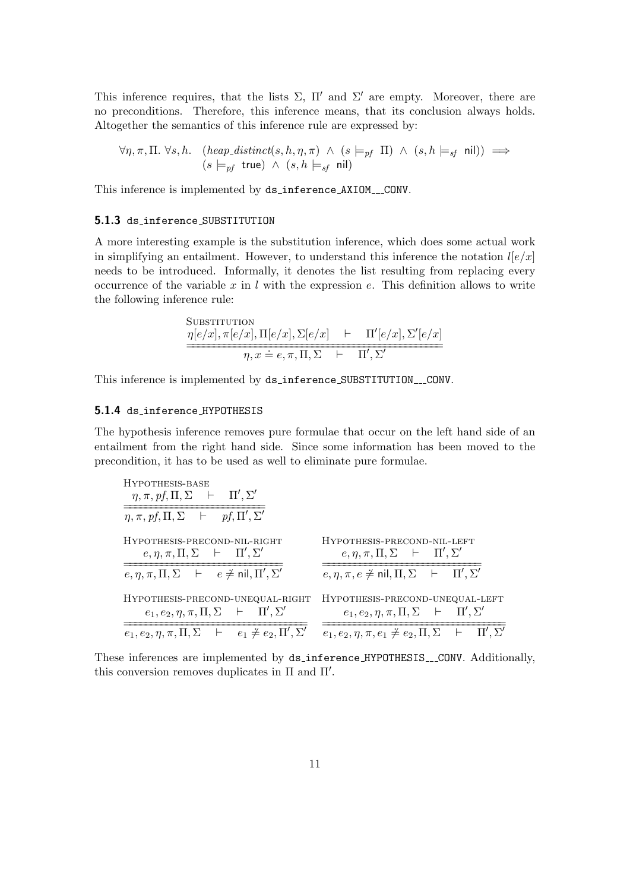This inference requires, that the lists  $\Sigma$ ,  $\Pi'$  and  $\Sigma'$  are empty. Moreover, there are no preconditions. Therefore, this inference means, that its conclusion always holds. Altogether the semantics of this inference rule are expressed by:

$$
\forall \eta, \pi, \Pi. \ \forall s, h. \quad (heap\_distinct(s, h, \eta, \pi) \ \land \ (s \models_{pf} \ \Pi) \ \land \ (s, h \models_{sf} \ \text{nil})) \implies
$$

$$
(s \models_{pf} \ \text{true}) \ \land \ (s, h \models_{sf} \ \text{nil})
$$

This inference is implemented by ds\_inference\_AXIOM\_\_CONV.

#### <span id="page-10-0"></span>5.1.3 ds inference SUBSTITUTION

A more interesting example is the substitution inference, which does some actual work in simplifying an entailment. However, to understand this inference the notation  $l[e/x]$ needs to be introduced. Informally, it denotes the list resulting from replacing every occurrence of the variable  $x$  in  $l$  with the expression  $e$ . This definition allows to write the following inference rule:

SUBSTITUTION  
\n
$$
\frac{\eta[e/x], \pi[e/x], \Pi[e/x], \Sigma[e/x] \quad \vdash \quad \Pi'[e/x], \Sigma'[e/x]}{\eta, x \doteq e, \pi, \Pi, \Sigma \quad \vdash \quad \Pi', \Sigma'}
$$

This inference is implemented by ds\_inference\_SUBSTITUTION\_\_CONV.

### <span id="page-10-1"></span>5.1.4 ds inference HYPOTHESIS

The hypothesis inference removes pure formulae that occur on the left hand side of an entailment from the right hand side. Since some information has been moved to the precondition, it has to be used as well to eliminate pure formulae.

HYPOTHESIS-BASE  
\n
$$
\eta, \pi, pf, \Pi, \Sigma
$$
 +  $\Pi', \Sigma'$   
\nHYPOTHESIS-PRECOND-NIL-RIGHT  
\n $e, \eta, \pi, \Pi, \Sigma$  +  $\Pi', \Sigma'$   
\nHYPOTHESIS-PRECOND-NIL-RIGHT  
\n $\overline{e}, \eta, \pi, \Pi, \Sigma$  +  $\overline{e} \neq \text{nil}, \Pi', \Sigma'$   
\nHYPOTHESIS-PRECOND-NIL-LEFT  
\n $\overline{e}, \eta, \pi, \Pi, \Sigma$  +  $e \neq \text{nil}, \Pi', \Sigma'$   
\nHYPOTHESIS-PRECOND-UNEQUAL-RIGHT  
\n $\overline{e}_1, e_2, \eta, \pi, \Pi, \Sigma$  +  $\Pi', \Sigma'$   
\nHYPOTHESIS-PRECOND-UNEQUAL-LEFT  
\n $\overline{e}_1, e_2, \eta, \pi, \Pi, \Sigma$  +  $\Pi', \Sigma'$   
\n $\overline{e}_1, e_2, \eta, \pi, \Pi, \Sigma$  +  $\overline{e}_1 \neq e_2, \Pi', \Sigma'$   
\n $\overline{e}_1, e_2, \eta, \pi, e_1 \neq e_2, \Pi, \Sigma$  +  $\Pi', \Sigma'$ 

These inferences are implemented by ds\_inference\_HYPOTHESIS\_\_CONV. Additionally, this conversion removes duplicates in  $\Pi$  and  $\Pi'$ .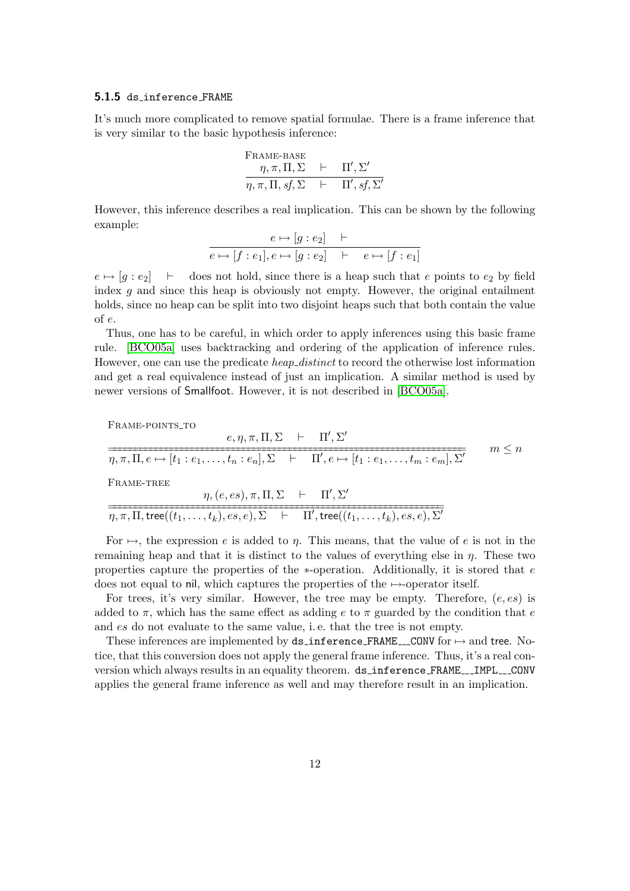#### <span id="page-11-0"></span>5.1.5 ds inference FRAME

It's much more complicated to remove spatial formulae. There is a frame inference that is very similar to the basic hypothesis inference:

Frame-Base

\n
$$
\eta, \pi, \Pi, \Sigma \quad \vdash \quad \Pi', \Sigma'
$$
\n
$$
\eta, \pi, \Pi, sf, \Sigma \quad \vdash \quad \Pi', sf, \Sigma'
$$

However, this inference describes a real implication. This can be shown by the following example:

$$
\frac{e \mapsto [g : e_2] \quad \vdash}{e \mapsto [f : e_1], e \mapsto [g : e_2] \quad \vdash \quad e \mapsto [f : e_1]}
$$

 $e \mapsto [g : e_2] \quad \vdash \quad$  does not hold, since there is a heap such that e points to  $e_2$  by field index  $g$  and since this heap is obviously not empty. However, the original entailment holds, since no heap can be split into two disjoint heaps such that both contain the value of e.

Thus, one has to be careful, in which order to apply inferences using this basic frame rule. [\[BCO05a\]](#page-20-4) uses backtracking and ordering of the application of inference rules. However, one can use the predicate *heap\_distinct* to record the otherwise lost information and get a real equivalence instead of just an implication. A similar method is used by newer versions of Smallfoot. However, it is not described in [\[BCO05a\]](#page-20-4).

FRAME-POINTS\_TO

$$
\frac{e, \eta, \pi, \Pi, \Sigma \quad \vdash \quad \Pi', \Sigma'}{\eta, \pi, \Pi, e \mapsto [t_1 : e_1, \dots, t_n : e_n], \Sigma \quad \vdash \quad \Pi', e \mapsto [t_1 : e_1, \dots, t_m : e_m], \Sigma'} \qquad m \le n
$$
\nFrame-Tree

\n
$$
\frac{\eta, (e, es), \pi, \Pi, \Sigma \quad \vdash \quad \Pi', \Sigma'}{\eta, \pi, \Pi, \text{tree}((t_1, \dots, t_k), es, e), \Sigma \quad \vdash \quad \Pi', \text{tree}((t_1, \dots, t_k), es, e), \Sigma'}
$$

For  $\mapsto$ , the expression e is added to  $\eta$ . This means, that the value of e is not in the remaining heap and that it is distinct to the values of everything else in  $\eta$ . These two properties capture the properties of the  $*$ -operation. Additionally, it is stored that  $e$ does not equal to nil, which captures the properties of the  $\rightarrow$ -operator itself.

For trees, it's very similar. However, the tree may be empty. Therefore,  $(e, es)$  is added to  $\pi$ , which has the same effect as adding e to  $\pi$  guarded by the condition that e and es do not evaluate to the same value, i. e. that the tree is not empty.

These inferences are implemented by  $ds$  inference FRAME \_\_\_CONV for  $\mapsto$  and tree. Notice, that this conversion does not apply the general frame inference. Thus, it's a real conversion which always results in an equality theorem. ds\_inference\_FRAME\_\_\_IMPL\_\_CONV applies the general frame inference as well and may therefore result in an implication.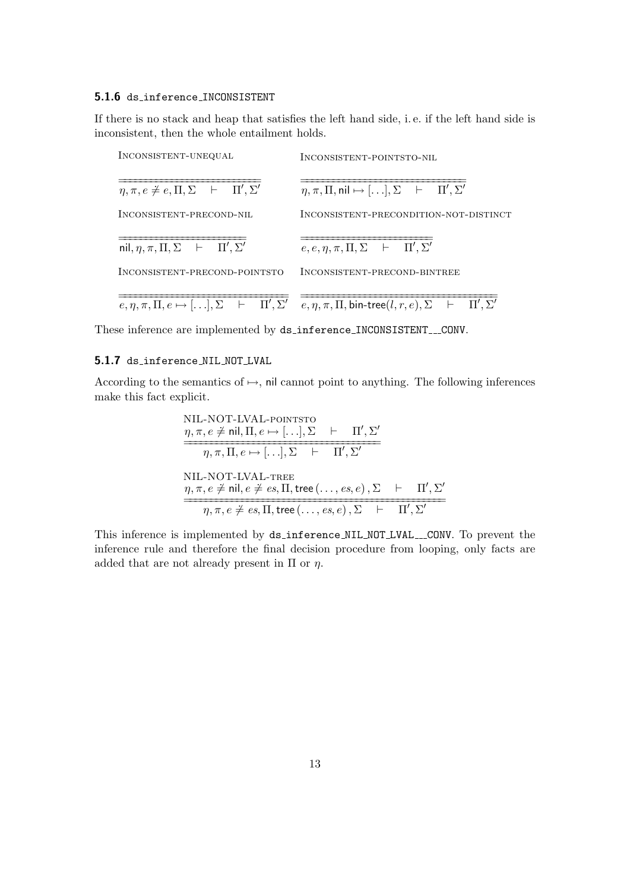#### <span id="page-12-0"></span>5.1.6 ds inference INCONSISTENT

If there is no stack and heap that satisfies the left hand side, i. e. if the left hand side is inconsistent, then the whole entailment holds.

| INCONSISTENT-UNEQUAL                                               | INCONSISTENT-POINTSTO-NIL<br>$\eta, \pi, \Pi, \text{nil} \mapsto [\ldots], \Sigma \quad \vdash \quad \Pi', \Sigma'$<br>INCONSISTENT-PRECONDITION-NOT-DISTINCT               |  |
|--------------------------------------------------------------------|-----------------------------------------------------------------------------------------------------------------------------------------------------------------------------|--|
| $\eta, \pi, e \neq e, \Pi, \Sigma$ $\vdash$ $\Pi', \Sigma'$        |                                                                                                                                                                             |  |
| INCONSISTENT-PRECOND-NIL                                           |                                                                                                                                                                             |  |
| nil, $\eta$ , $\pi$ , $\Pi$ , $\Sigma$ $\vdash$ $\Pi'$ , $\Sigma'$ | $e, e, \eta, \pi, \Pi, \Sigma$ $\vdash$ $\Pi', \Sigma'$                                                                                                                     |  |
| INCONSISTENT-PRECOND-POINTSTO                                      | INCONSISTENT-PRECOND-BINTREE                                                                                                                                                |  |
|                                                                    | $e, \eta, \pi, \Pi, e \mapsto [\ldots], \Sigma \quad \vdash \quad \Pi', \Sigma' \quad e, \eta, \pi, \Pi, \text{bin-tree}(l, r, e), \Sigma \quad \vdash \quad \Pi', \Sigma'$ |  |

These inference are implemented by ds\_inference\_INCONSISTENT\_\_CONV.

### <span id="page-12-1"></span>5.1.7 ds inference NIL NOT LVAL

According to the semantics of  $\rightarrow$ , nil cannot point to anything. The following inferences make this fact explicit.

NIL-NOT-LVAL-PORTSTO  
\n
$$
\eta, \pi, e \neq \text{nil}, \Pi, e \mapsto [...], \Sigma + \Pi', \Sigma'
$$
\n
$$
\overline{\eta, \pi, \Pi, e \mapsto [...], \Sigma + \Pi', \Sigma'}
$$
\nNIL-NOT-LVAL-THEE  
\n
$$
\eta, \pi, e \neq \text{nil}, e \neq es, \Pi, \text{tree}(..., es, e), \Sigma + \Pi', \Sigma'
$$
\n
$$
\overline{\eta, \pi, e \neq es, \Pi, \text{tree}(..., es, e), \Sigma + \Pi', \Sigma'}
$$

This inference is implemented by ds\_inference\_NIL\_NOT\_LVAL\_\_CONV. To prevent the inference rule and therefore the final decision procedure from looping, only facts are added that are not already present in  $\Pi$  or  $\eta$ .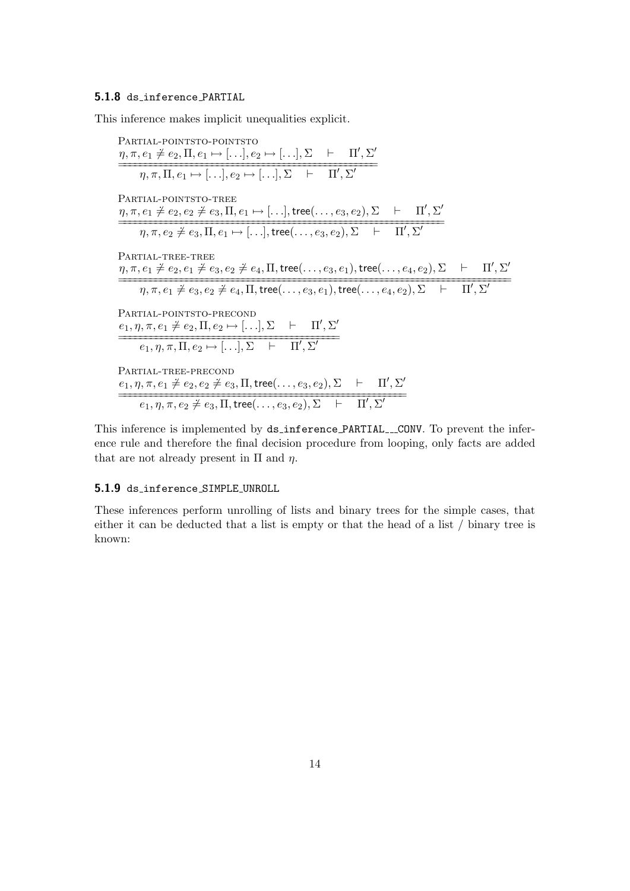#### <span id="page-13-0"></span>5.1.8 ds inference PARTIAL

This inference makes implicit unequalities explicit.

Partial-pointsto-pointsto  $\eta, \pi, e_1 \neq e_2, \Pi, e_1 \mapsto [...], e_2 \mapsto [...], \Sigma \vdash \Pi', \Sigma'$  $\overline{\eta,\pi,\Pi,e_1\mapsto[.\,. .],e_2\mapsto[.\,. .],\Sigma$   $\vdash$   $\Pi',\Sigma'$ PARTIAL-POINTSTO-TREE  $\eta, \pi, e_1 \neq e_2, e_2 \neq e_3, \Pi, e_1 \mapsto [\ldots], \text{tree}(\ldots, e_3, e_2), \Sigma$   $\vdash$   $\Pi', \Sigma'$  $\frac{\partial}{\partial \eta, \pi, e_2 \neq e_3, \Pi, e_1 \mapsto [\ldots], \text{tree}(\ldots, e_3, e_2), \Sigma \quad \vdots \quad \Pi', \Sigma'}$ Partial-tree-tree  $η, π, e_1 \neq e_2, e_1 \neq e_3, e_2 \neq e_4, \Pi, \textsf{tree}(\ldots, e_3, e_1), \textsf{tree}(\ldots, e_4, e_2), \Sigma$   $\quad \vdash \quad \Pi', \Sigma'$  $\overbrace{\eta, \pi, e_1 \neq e_3, e_2 \neq e_4, \Pi, \text{tree}(\ldots, e_3, e_1), \text{tree}(\ldots, e_4, e_2), \Sigma$   $\quad \vdots$   $\overbrace{\Pi', \Sigma'}$ Partial-pointsto-precond  $e_1$ ,  $\eta$ ,  $\pi$ ,  $e_1 \neq e_2$ ,  $\Pi$ ,  $e_2 \mapsto$  [...],  $\Sigma$   $\vdash$   $\Pi'$ ,  $\Sigma'$  $\frac{e_1, \ldots, e_n}{e_1, \eta, \pi, \Pi, e_2 \mapsto [\ldots], \Sigma \vdash \Pi', \Sigma'}$ Partial-tree-precond  $e_1$ ,  $\eta$ ,  $\pi$ ,  $e_1 \neq e_2$ ,  $e_2 \neq e_3$ ,  $\Pi$ , tree $(\ldots, e_3, e_2)$ ,  $\Sigma$   $\vdash$   $\Pi', \Sigma'$  $\begin{array}{|l|} \hline \hline e_1,\eta,\pi,e_2 \neq e_3,\Pi,\text{tree}(\dots,e_3,e_2),\Sigma & \vdash & \Pi',\Sigma' \end{array}$ 

This inference is implemented by ds\_inference\_PARTIAL\_\_CONV. To prevent the inference rule and therefore the final decision procedure from looping, only facts are added that are not already present in  $\Pi$  and  $\eta$ .

#### <span id="page-13-1"></span>5.1.9 ds inference SIMPLE UNROLL

These inferences perform unrolling of lists and binary trees for the simple cases, that either it can be deducted that a list is empty or that the head of a list / binary tree is known: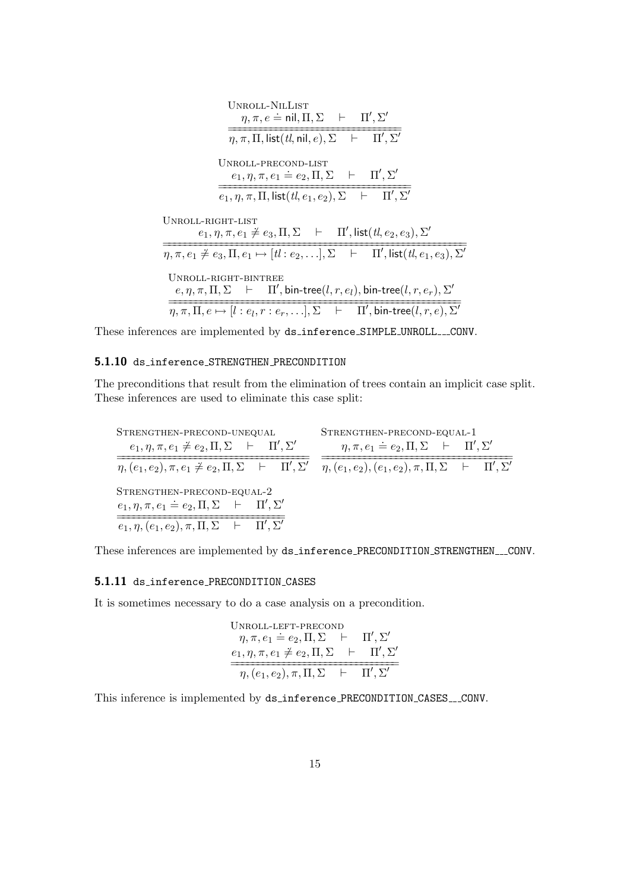| UNROLL-NILLIST<br>$\eta, \pi, e \doteq \textsf{nil}, \Pi, \Sigma \quad \vdash \quad \Pi', \Sigma'$                                                |
|---------------------------------------------------------------------------------------------------------------------------------------------------|
| $\eta, \pi, \Pi$ , list $(tl, \text{nil}, e), \Sigma$ $\vdash$ $\Pi', \Sigma'$                                                                    |
| UNROLL-PRECOND-LIST<br>$e_1, \eta, \pi, e_1 \doteq e_2, \Pi, \Sigma$ $\vdash$ $\Pi', \Sigma'$                                                     |
| $e_1, \eta, \pi, \Pi$ , list $(tl, e_1, e_2), \Sigma$ $\vdash$ $\Pi', \Sigma'$                                                                    |
| UNROLL-RIGHT-LIST<br>$e_1, \eta, \pi, e_1 \neq e_3, \Pi, \Sigma$ $\vdash$ $\Pi'$ , list $(tl, e_2, e_3), \Sigma'$                                 |
| $\eta, \pi, e_1 \neq e_3, \Pi, e_1 \mapsto [tl : e_2, \ldots], \Sigma$ $\vdash$ $\Pi', \mathsf{list}(tl, e_1, e_3), \Sigma'$                      |
| UNROLL-RIGHT-BINTREE<br>$e, \eta, \pi, \Pi, \Sigma$ $\vdash$ $\Pi'$ , bin-tree(l, r, e <sub>l</sub> ), bin-tree(l, r, e <sub>r</sub> ), $\Sigma'$ |
| $\eta, \pi, \Pi, e \mapsto [l : e_l, r : e_r, \ldots], \Sigma \quad \vdash \quad \Pi', \textsf{bin-tree}(l, r, e), \Sigma'$                       |

These inferences are implemented by ds\_inference\_SIMPLE\_UNROLL\_\_CONV.

#### <span id="page-14-0"></span>5.1.10 ds inference STRENGTHEN PRECONDITION

The preconditions that result from the elimination of trees contain an implicit case split. These inferences are used to eliminate this case split:

Strengthen-precond-unequal  $e_1, \eta, \pi, e_1 \neq e_2, \Pi, \Sigma \vdash \Pi', \Sigma'$  $\overbrace{\eta,(e_1,e_2),\pi,e_1\neq e_2,\Pi,\Sigma \quad \vdash \quad \Pi',\Sigma'}$ Strengthen-precond-equal-1  $\eta, \pi, e_1 \doteq e_2, \Pi, \Sigma \quad \vdash \quad \Pi', \Sigma'$  $\overbrace{\eta, (e_1, e_2), (e_1, e_2), \pi, \Pi, \Sigma \quad \vdash \quad \Pi', \Sigma'}$  $\operatorname{STRENGTHEN-PRECOND-EQUAL-2}$  $e_1, \eta, \pi, e_1 \doteq e_2, \Pi, \Sigma \vdash \Pi', \Sigma'$  $\overline{e_1, \eta, (e_1, e_2), \pi, \Pi, \Sigma + \Pi', \Sigma'}$ 

These inferences are implemented by ds\_inference\_PRECONDITION\_STRENGTHEN\_\_CONV.

#### <span id="page-14-1"></span>5.1.11 ds inference PRECONDITION CASES

It is sometimes necessary to do a case analysis on a precondition.

UNROL-LEFT-PRECOND

\n
$$
\eta, \pi, e_1 \doteq e_2, \Pi, \Sigma \quad \vdash \quad \Pi', \Sigma'
$$
\n
$$
\underbrace{e_1, \eta, \pi, e_1 \neq e_2, \Pi, \Sigma \quad \vdash \quad \Pi', \Sigma'}_{\eta, (e_1, e_2), \pi, \Pi, \Sigma \quad \vdash \quad \Pi', \Sigma'}
$$

This inference is implemented by ds\_inference\_PRECONDITION\_CASES\_\_CONV.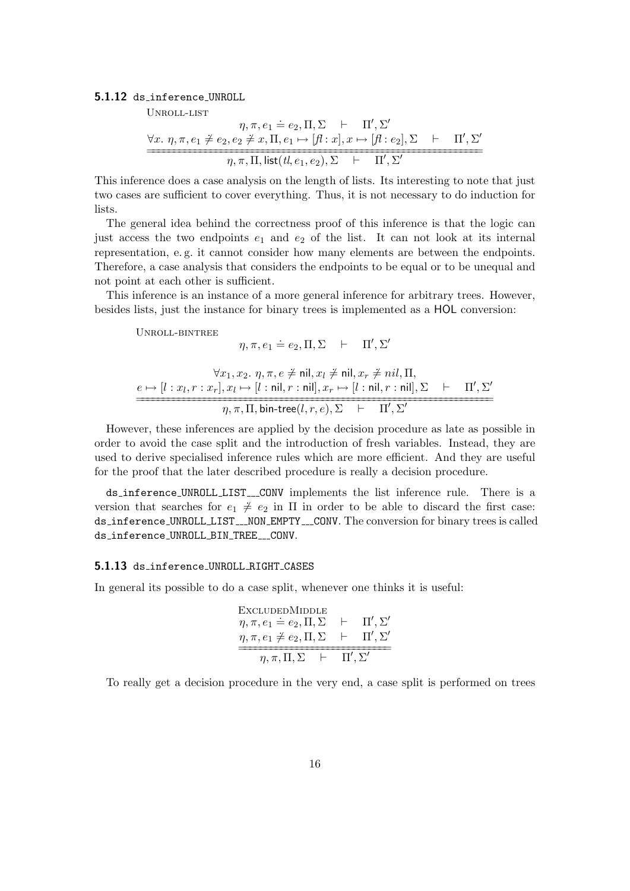#### <span id="page-15-0"></span>5.1.12 ds inference UNROLL

Unroll-list

$$
\eta, \pi, e_1 \doteq e_2, \Pi, \Sigma \quad \vdash \quad \Pi', \Sigma'
$$
\n
$$
\forall x. \ \eta, \pi, e_1 \neq e_2, e_2 \neq x, \Pi, e_1 \mapsto [f\mathbf{1}:x], x \mapsto [f\mathbf{1}:e_2], \Sigma \quad \vdash \quad \Pi', \Sigma'
$$
\n
$$
\eta, \pi, \Pi, \text{list}(t, e_1, e_2), \Sigma \quad \vdash \quad \Pi', \Sigma'
$$

This inference does a case analysis on the length of lists. Its interesting to note that just two cases are sufficient to cover everything. Thus, it is not necessary to do induction for lists.

The general idea behind the correctness proof of this inference is that the logic can just access the two endpoints  $e_1$  and  $e_2$  of the list. It can not look at its internal representation, e. g. it cannot consider how many elements are between the endpoints. Therefore, a case analysis that considers the endpoints to be equal or to be unequal and not point at each other is sufficient.

This inference is an instance of a more general inference for arbitrary trees. However, besides lists, just the instance for binary trees is implemented as a HOL conversion:

Unroll-bintree

$$
\eta, \pi, e_1 \doteq e_2, \Pi, \Sigma \quad \vdash \quad \Pi', \Sigma'
$$

$$
\forall x_1, x_2, \eta, \pi, e \neq \text{nil}, x_l \neq \text{nil}, x_r \neq nil, \Pi,
$$
\n
$$
\underbrace{e \mapsto [l : x_l, r : x_r], x_l \mapsto [l : \text{nil}, r : \text{nil}], x_r \mapsto [l : \text{nil}, r : \text{nil}], \Sigma \quad \vdash \quad \Pi', \Sigma'}_{\eta, \pi, \Pi, \text{ bin-tree}(l, r, e), \Sigma \quad \vdash \quad \Pi', \Sigma'}
$$

However, these inferences are applied by the decision procedure as late as possible in order to avoid the case split and the introduction of fresh variables. Instead, they are used to derive specialised inference rules which are more efficient. And they are useful for the proof that the later described procedure is really a decision procedure.

ds\_inference\_UNROLL\_LIST\_\_CONV implements the list inference rule. There is a version that searches for  $e_1 \neq e_2$  in  $\Pi$  in order to be able to discard the first case: ds\_inference\_UNROLL\_LIST\_\_NON\_EMPTY\_\_CONV. The conversion for binary trees is called ds\_inference\_UNROLL\_BIN\_TREE\_\_\_CONV.

#### <span id="page-15-1"></span>5.1.13 ds inference UNROLL RIGHT CASES

In general its possible to do a case split, whenever one thinks it is useful:

$$
\begin{array}{ll}\n\text{EXECUTE} \\
\eta, \pi, e_1 \doteq e_2, \Pi, \Sigma \quad \vdash \quad \Pi', \Sigma' \\
\eta, \pi, e_1 \neq e_2, \Pi, \Sigma \quad \vdash \quad \Pi', \Sigma' \\
\hline\n\eta, \pi, \Pi, \Sigma \quad \vdash \quad \Pi', \Sigma'\n\end{array}
$$

To really get a decision procedure in the very end, a case split is performed on trees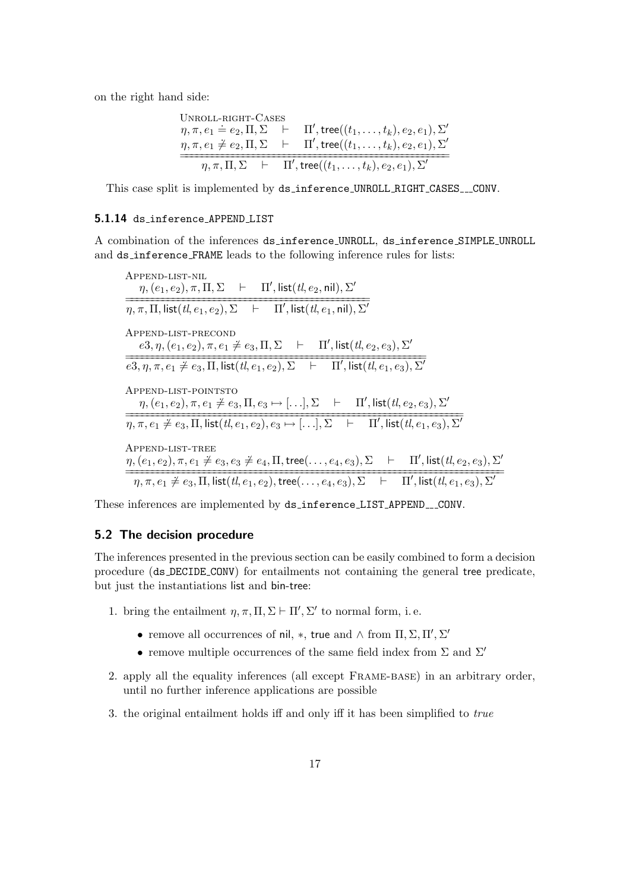on the right hand side:

UNROL-L-RIGHT-CASES

\n
$$
\eta, \pi, e_1 \doteq e_2, \Pi, \Sigma \quad \vdash \quad \Pi', \text{tree}((t_1, \ldots, t_k), e_2, e_1), \Sigma'
$$
\n
$$
\eta, \pi, e_1 \neq e_2, \Pi, \Sigma \quad \vdash \quad \Pi', \text{tree}((t_1, \ldots, t_k), e_2, e_1), \Sigma'
$$
\n
$$
\eta, \pi, \Pi, \Sigma \quad \vdash \quad \Pi', \text{tree}((t_1, \ldots, t_k), e_2, e_1), \Sigma'
$$

This case split is implemented by ds\_inference\_UNROLL\_RIGHT\_CASES\_\_\_CONV.

#### <span id="page-16-0"></span>5.1.14 ds inference APPEND LIST

A combination of the inferences ds inference UNROLL, ds inference SIMPLE UNROLL and ds inference FRAME leads to the following inference rules for lists:

Append-list-nil  $\eta, (e_1, e_2), \pi, \Pi, \Sigma \quad \vdash \quad \Pi', \mathsf{list}(tl, e_2, \mathsf{nil}), \Sigma'$  $\overline{\eta,\pi,\Pi, \textsf{list}(tl, e_1,e_2), \Sigma$   $\vdash$   $\Pi', \textsf{list}(tl, e_1, \textsf{nil}), \Sigma'}$ Append-list-precond  $e3, \eta, (e_1, e_2), \pi, e_1 \neq e_3, \Pi, \Sigma \quad \vdash \quad \Pi', \mathsf{list}(tl, e_2, e_3), \Sigma'$  $\overline{e3,\eta,\pi,e_1\neq e_3,\Pi, \textsf{list}(tl,e_1,e_2),\Sigma} \quad \vdash \quad \Pi', \textsf{list}(tl,e_1,e_3),\Sigma'$ Append-list-pointsto  $\eta, (e_1, e_2), \pi, e_1 \neq e_3, \Pi, e_3 \mapsto [...], \Sigma \quad \vdash \quad \Pi', \mathsf{list}(t\ell, e_2, e_3), \Sigma'$  $\overbrace{\eta, \pi, e_1 \neq e_3, \Pi, \text{list}(tl, e_1, e_2), e_3 \mapsto [\ldots], \Sigma \quad \vdash \quad \Pi', \text{list}(tl, e_1, e_3), \Sigma'}$ Append-list-tree  $\eta,(e_1,e_2),\pi,e_1\neq e_3,e_3\neq e_4,\Pi,\mathsf{tree}(\dots,e_4,e_3),\Sigma\quad\vdash\quad \Pi',\mathsf{list}(tl,e_2,e_3),\Sigma'$  $\overbrace{\eta, \pi, e_1 \neq e_3, \Pi, \textsf{list}(tl, e_1, e_2), \textsf{tree}(\ldots, e_4, e_3), \Sigma}^{\textsf{max}}$   $\overbrace{\Pi', \textsf{list}(tl, e_1, e_3), \Sigma'}^{\textsf{max}}$ 

These inferences are implemented by ds\_inference\_LIST\_APPEND\_\_\_CONV.

#### <span id="page-16-1"></span>5.2 The decision procedure

The inferences presented in the previous section can be easily combined to form a decision procedure (ds DECIDE CONV) for entailments not containing the general tree predicate, but just the instantiations list and bin-tree:

- 1. bring the entailment  $\eta, \pi, \Pi, \Sigma \vdash \Pi', \Sigma'$  to normal form, i.e.
	- remove all occurrences of nil, \*, true and  $\wedge$  from  $\Pi, \Sigma, \Pi', \Sigma'$
	- remove multiple occurrences of the same field index from  $\Sigma$  and  $\Sigma'$
- 2. apply all the equality inferences (all except Frame-base) in an arbitrary order, until no further inference applications are possible
- 3. the original entailment holds iff and only iff it has been simplified to true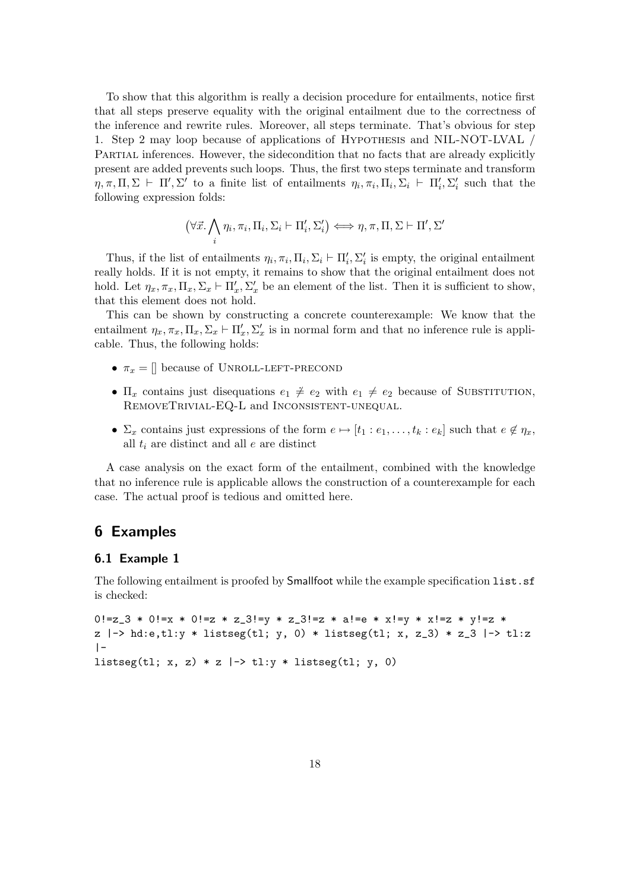To show that this algorithm is really a decision procedure for entailments, notice first that all steps preserve equality with the original entailment due to the correctness of the inference and rewrite rules. Moreover, all steps terminate. That's obvious for step 1. Step 2 may loop because of applications of Hypothesis and NIL-NOT-LVAL / Partial inferences. However, the sidecondition that no facts that are already explicitly present are added prevents such loops. Thus, the first two steps terminate and transform  $\eta, \pi, \Pi, \Sigma \vdash \Pi', \Sigma'$  to a finite list of entailments  $\eta_i, \pi_i, \Pi_i, \Sigma_i \vdash \Pi'_i, \Sigma'_i$  such that the following expression folds:

$$
(\forall \vec{x}. \bigwedge_i \eta_i, \pi_i, \Pi_i, \Sigma_i \vdash \Pi'_i, \Sigma'_i) \iff \eta, \pi, \Pi, \Sigma \vdash \Pi', \Sigma'
$$

Thus, if the list of entailments  $\eta_i, \pi_i, \Pi_i, \Sigma_i \vdash \Pi'_i, \Sigma'_i$  is empty, the original entailment really holds. If it is not empty, it remains to show that the original entailment does not hold. Let  $\eta_x, \pi_x, \Pi_x, \Sigma_x \vdash \Pi'_x, \Sigma'_x$  be an element of the list. Then it is sufficient to show, that this element does not hold.

This can be shown by constructing a concrete counterexample: We know that the entailment  $\eta_x, \pi_x, \Pi_x, \Sigma_x \vdash \Pi'_x, \Sigma'_x$  is in normal form and that no inference rule is applicable. Thus, the following holds:

- $\pi_x = \parallel$  because of UNROLL-LEFT-PRECOND
- $\Pi_x$  contains just disequations  $e_1 \neq e_2$  with  $e_1 \neq e_2$  because of SUBSTITUTION, RemoveTrivial-EQ-L and Inconsistent-unequal.
- $\Sigma_x$  contains just expressions of the form  $e \mapsto [t_1 : e_1, \ldots, t_k : e_k]$  such that  $e \notin \eta_x$ , all  $t_i$  are distinct and all  $e$  are distinct

A case analysis on the exact form of the entailment, combined with the knowledge that no inference rule is applicable allows the construction of a counterexample for each case. The actual proof is tedious and omitted here.

### <span id="page-17-0"></span>6 Examples

#### <span id="page-17-1"></span>6.1 Example 1

The following entailment is proofed by **Smallfoot** while the example specification list.sf is checked:

```
0!=z_3 * 0!=x * 0!=z * z_3!=y * z_3!=z * a!=e * x!=y * x!=z * v!=z *
z |-> hd:e,tl:y * listseg(tl; y, 0) * listseg(tl; x, z_3) * z_3 |-> tl:z
|-
listseg(tl; x, z) * z \vert \rightarrow tl:y * listseg(tl; y, 0)
```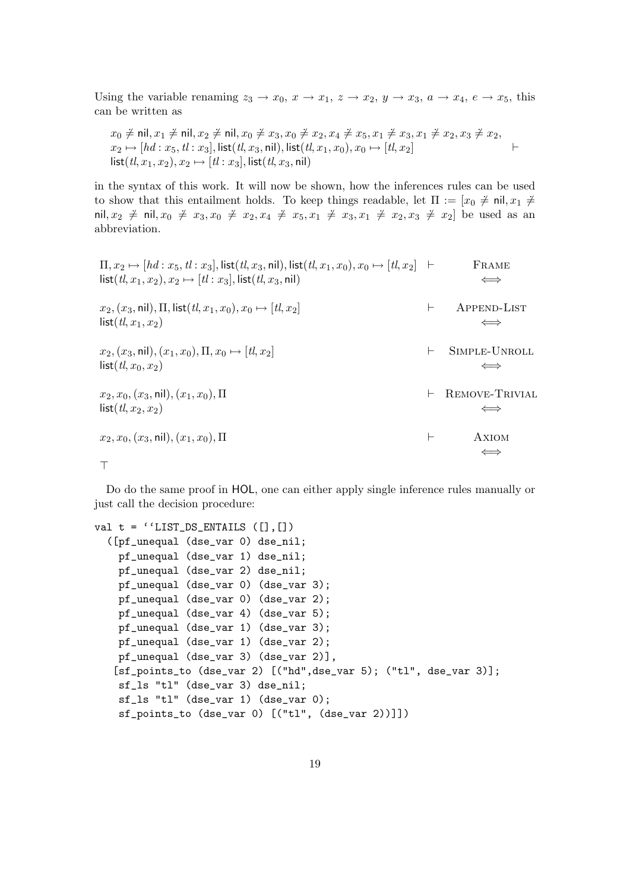Using the variable renaming  $z_3 \rightarrow x_0, x \rightarrow x_1, z \rightarrow x_2, y \rightarrow x_3, a \rightarrow x_4, e \rightarrow x_5$ , this can be written as

$$
x_0 \neq \text{nil}, x_1 \neq \text{nil}, x_2 \neq \text{nil}, x_0 \neq x_3, x_0 \neq x_2, x_4 \neq x_5, x_1 \neq x_3, x_1 \neq x_2, x_3 \neq x_2, x_2 \mapsto [hd: x_5, tl: x_3], \text{list}(tl, x_3, \text{nil}), \text{list}(tl, x_1, x_0), x_0 \mapsto [tl, x_2] \qquad \qquad \vdots
$$
  
\nlist( $tl, x_1, x_2$ ),  $x_2 \mapsto [tl: x_3]$ , list( $tl, x_3$ , nil)

in the syntax of this work. It will now be shown, how the inferences rules can be used to show that this entailment holds. To keep things readable, let  $\Pi := [x_0 \neq \text{nil}, x_1 \neq \text{nil}, x_2 \neq \text{nil}]$ nil,  $x_2 \neq \text{nil}, x_0 \neq x_3, x_0 \neq x_2, x_4 \neq x_5, x_1 \neq x_3, x_1 \neq x_2, x_3 \neq x_2$  be used as an abbreviation.

$$
\Pi, x_2 \mapsto [hd: x_5, tl: x_3], list(t, x_3, nil), list(t, x_1, x_0), x_0 \mapsto [tl, x_2] \quad \vdash \qquad \text{FRAME} \\
\text{list}(tl, x_1, x_2), x_2 \mapsto [tl: x_3], \text{list}(tl, x_3, nil) \qquad \iff \\
x_2, (x_3, nil), \Pi, \text{list}(tl, x_1, x_0), x_0 \mapsto [tl, x_2] \qquad \qquad \vdash \qquad \text{APPEND-LIST} \\
\text{list}(tl, x_1, x_2) \qquad \qquad \iff \qquad \text{SPPEND-LIST} \\
x_2, (x_3, nil), (x_1, x_0), \Pi, x_0 \mapsto [tl, x_2] \qquad \qquad \vdash \qquad \text{SIMPLE-UNROLL} \\
\text{list}(tl, x_0, x_2) \qquad \qquad \iff \qquad \text{REMove-TRIVIAL} \\
\text{list}(tl, x_2, x_2) \qquad \qquad \iff \qquad \text{REMove-TRIVIAL} \\
\text{list}(tl, x_2, x_2) \qquad \qquad \iff \qquad \text{AXIOM} \\
\top
$$

Do do the same proof in HOL, one can either apply single inference rules manually or just call the decision procedure:

```
val t = ''LIST_DS_ENTAILS ([], [])([pf_unequal (dse_var 0) dse_nil;
   pf_unequal (dse_var 1) dse_nil;
    pf_unequal (dse_var 2) dse_nil;
    pf_unequal (dse_var 0) (dse_var 3);
    pf_unequal (dse_var 0) (dse_var 2);
    pf_unequal (dse_var 4) (dse_var 5);
    pf_unequal (dse_var 1) (dse_var 3);
   pf_unequal (dse_var 1) (dse_var 2);
   pf_unequal (dse_var 3) (dse_var 2)],
   [sf_points_to (dse_var 2) [("hd",dse_var 5); ("tl", dse_var 3)];
    sf_ls "tl" (dse_var 3) dse_nil;
    sf_ls "tl" (dse_var 1) (dse_var 0);
    sf_points_to (dse_var 0) [("tl", (dse_var 2))]])
```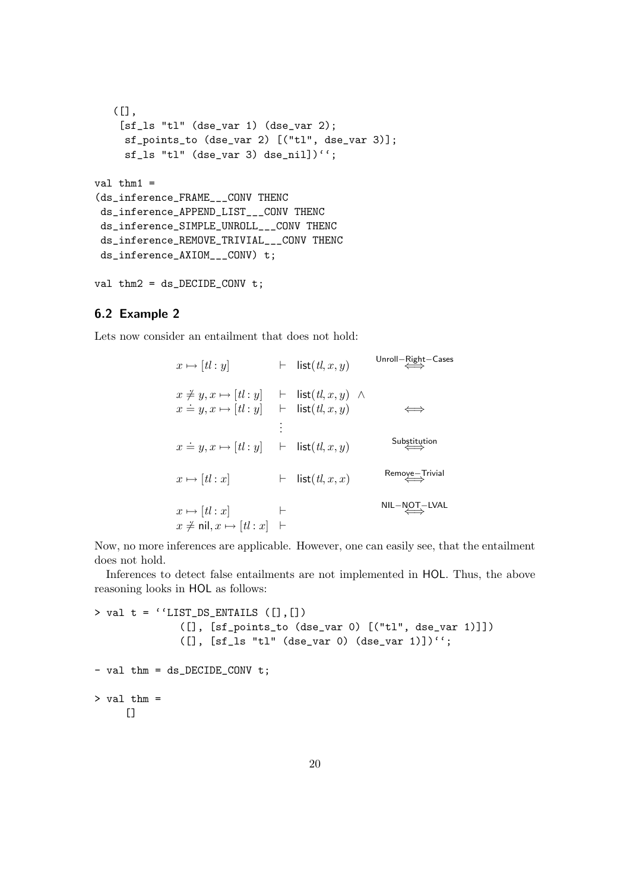```
(L],
    [sf_ls "tl" (dse_var 1) (dse_var 2);
    sf_points_to (dse_var 2) [("tl", dse_var 3)];
     sf_ls "tl" (dse_var 3) dse_nil])'';
val thm1 =(ds_inference_FRAME___CONV THENC
ds_inference_APPEND_LIST___CONV THENC
ds_inference_SIMPLE_UNROLL___CONV THENC
ds_inference_REMOVE_TRIVIAL___CONV THENC
ds_inference_AXIOM___CONV) t;
```

```
val thm2 = ds DECIDE CONV t;
```
### <span id="page-19-0"></span>6.2 Example 2

Lets now consider an entailment that does not hold:

$$
x \mapsto [t! : y] \qquad \vdash \quad \text{list}(t l, x, y) \qquad \text{allow } \quad \text{allow } \quad \text{allow } \quad \text{allow } \quad \text{and} \quad \text{and} \quad \text{and} \quad \text{and} \quad \text{and} \quad \text{and} \quad \text{and} \quad \text{and} \quad \text{and} \quad \text{and} \quad \text{and} \quad \text{and} \quad \text{and} \quad \text{and} \quad \text{and} \quad \text{and} \quad \text{and} \quad \text{and} \quad \text{and} \quad \text{and} \quad \text{and} \quad \text{and} \quad \text{and} \quad \text{and} \quad \text{and} \quad \text{and} \quad \text{and} \quad \text{and} \quad \text{and} \quad \text{and} \quad \text{and} \quad \text{and} \quad \text{and} \quad \text{and} \quad \text{and} \quad \text{and} \quad \text{and} \quad \text{and} \quad \text{and} \quad \text{and} \quad \text{and} \quad \text{and} \quad \text{and} \quad \text{and} \quad \text{and} \quad \text{and} \quad \text{and} \quad \text{and} \quad \text{and} \quad \text{and} \quad \text{and} \quad \text{and} \quad \text{and} \quad \text{and} \quad \text{and} \quad \text{and} \quad \text{and} \quad \text{and} \quad \text{and} \quad \text{and} \quad \text{and} \quad \text{and} \quad \text{and} \quad \text{and} \quad \text{and} \quad \text{and} \quad \text{and} \quad \text{and} \quad \text{and} \quad \text{and} \quad \text{and} \quad \text{and} \quad \text{and} \quad \text{and} \quad \text{and} \quad \text{and} \quad \text{and} \quad \text{and} \quad \text{and} \quad \text{and} \quad \text{and} \quad \text{and} \quad \text{and} \quad \text{and} \quad \text{and} \quad \text{and} \quad \text{and} \quad \text{and} \quad \text{and} \quad \text{and} \quad \text{and} \quad \text{and} \quad \text{and} \quad \text{and} \quad \text{and} \quad \text{and} \quad \text{and} \quad \text{and} \quad \text{and} \quad \text{and}
$$

Unroll−Right−Cases

Now, no more inferences are applicable. However, one can easily see, that the entailment does not hold.

Inferences to detect false entailments are not implemented in HOL. Thus, the above reasoning looks in HOL as follows:

```
> val t = ''LIST_DS_ENTAILS ([], [])
              ([], [sf_points_to (dse_var 0) [("tl", dse_var 1)]])
              ([], [sf_ls "tl" (dse_var 0) (dse_var 1)])'';
- val thm = ds_DECIDE_CONV t;
> val thm =
     \Box
```